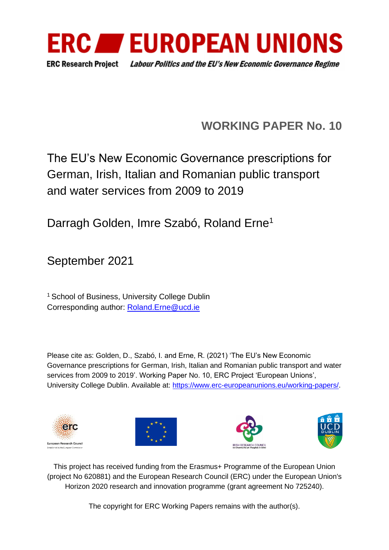

# **WORKING PAPER No. 10**

# The EU's New Economic Governance prescriptions for German, Irish, Italian and Romanian public transport and water services from 2009 to 2019

Darragh Golden, Imre Szabó, Roland Erne<sup>1</sup>

September 2021

<sup>1</sup> School of Business, University College Dublin Corresponding author: [Roland.Erne@ucd.ie](mailto:Roland.Erne@ucd.ie)

Please cite as: Golden, D., Szabó, I. and Erne, R. (2021) 'The EU's New Economic Governance prescriptions for German, Irish, Italian and Romanian public transport and water services from 2009 to 2019'. Working Paper No. 10, ERC Project 'European Unions', University College Dublin. Available at: [https://www.erc-europeanunions.eu/working-papers/.](https://www.erc-europeanunions.eu/working-papers/)









This project has received funding from the Erasmus+ Programme of the European Union (project No 620881) and the European Research Council (ERC) under the European Union's Horizon 2020 research and innovation programme (grant agreement No 725240).

The copyright for ERC Working Papers remains with the author(s).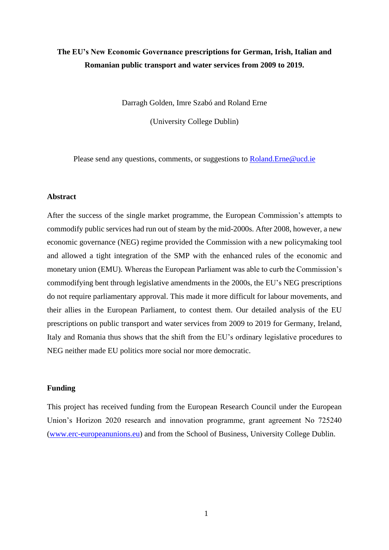# **The EU's New Economic Governance prescriptions for German, Irish, Italian and Romanian public transport and water services from 2009 to 2019.**

Darragh Golden, Imre Szabó and Roland Erne

(University College Dublin)

Please send any questions, comments, or suggestions to [Roland.Erne@ucd.ie](mailto:Roland.Erne@ucd.ie)

# **Abstract**

After the success of the single market programme, the European Commission's attempts to commodify public services had run out of steam by the mid-2000s. After 2008, however, a new economic governance (NEG) regime provided the Commission with a new policymaking tool and allowed a tight integration of the SMP with the enhanced rules of the economic and monetary union (EMU). Whereas the European Parliament was able to curb the Commission's commodifying bent through legislative amendments in the 2000s, the EU's NEG prescriptions do not require parliamentary approval. This made it more difficult for labour movements, and their allies in the European Parliament, to contest them. Our detailed analysis of the EU prescriptions on public transport and water services from 2009 to 2019 for Germany, Ireland, Italy and Romania thus shows that the shift from the EU's ordinary legislative procedures to NEG neither made EU politics more social nor more democratic.

# **Funding**

This project has received funding from the European Research Council under the European Union's Horizon 2020 research and innovation programme, grant agreement No 725240 [\(www.erc-europeanunions.eu\)](http://www.erc-europeanunions.eu/) and from the School of Business, University College Dublin.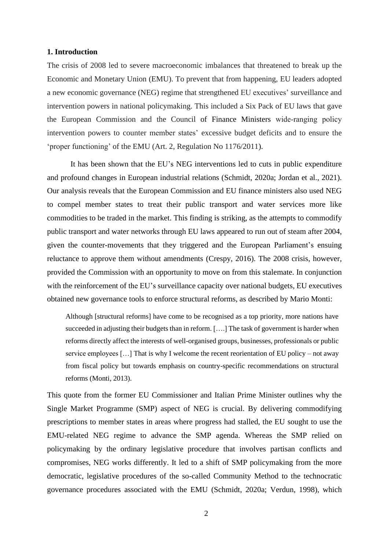# **1. Introduction**

The crisis of 2008 led to severe macroeconomic imbalances that threatened to break up the Economic and Monetary Union (EMU). To prevent that from happening, EU leaders adopted a new economic governance (NEG) regime that strengthened EU executives' surveillance and intervention powers in national policymaking. This included a Six Pack of EU laws that gave the European Commission and the Council of Finance Ministers wide‐ranging policy intervention powers to counter member states' excessive budget deficits and to ensure the 'proper functioning' of the EMU (Art. 2, Regulation No 1176/2011).

It has been shown that the EU's NEG interventions led to cuts in public expenditure and profound changes in European industrial relations (Schmidt, 2020a; Jordan et al., 2021). Our analysis reveals that the European Commission and EU finance ministers also used NEG to compel member states to treat their public transport and water services more like commodities to be traded in the market. This finding is striking, as the attempts to commodify public transport and water networks through EU laws appeared to run out of steam after 2004, given the counter-movements that they triggered and the European Parliament's ensuing reluctance to approve them without amendments (Crespy, 2016). The 2008 crisis, however, provided the Commission with an opportunity to move on from this stalemate. In conjunction with the reinforcement of the EU's surveillance capacity over national budgets, EU executives obtained new governance tools to enforce structural reforms, as described by Mario Monti:

Although [structural reforms] have come to be recognised as a top priority, more nations have succeeded in adjusting their budgets than in reform. [....] The task of government is harder when reforms directly affect the interests of well-organised groups, businesses, professionals or public service employees […] That is why I welcome the recent reorientation of EU policy – not away from fiscal policy but towards emphasis on country-specific recommendations on structural reforms (Monti, 2013).

This quote from the former EU Commissioner and Italian Prime Minister outlines why the Single Market Programme (SMP) aspect of NEG is crucial. By delivering commodifying prescriptions to member states in areas where progress had stalled, the EU sought to use the EMU-related NEG regime to advance the SMP agenda. Whereas the SMP relied on policymaking by the ordinary legislative procedure that involves partisan conflicts and compromises, NEG works differently. It led to a shift of SMP policymaking from the more democratic, legislative procedures of the so-called Community Method to the technocratic governance procedures associated with the EMU (Schmidt, 2020a; Verdun, 1998), which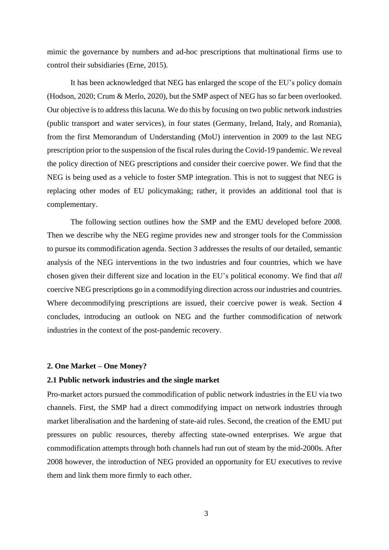mimic the governance by numbers and ad-hoc prescriptions that multinational firms use to control their subsidiaries (Erne, 2015).

It has been acknowledged that NEG has enlarged the scope of the EU's policy domain (Hodson, 2020; Crum & Merlo, 2020), but the SMP aspect of NEG has so far been overlooked. Our objective is to address this lacuna. We do this by focusing on two public network industries (public transport and water services), in four states (Germany, Ireland, Italy, and Romania), from the first Memorandum of Understanding (MoU) intervention in 2009 to the last NEG prescription prior to the suspension of the fiscal rules during the Covid-19 pandemic. We reveal the policy direction of NEG prescriptions and consider their coercive power. We find that the NEG is being used as a vehicle to foster SMP integration. This is not to suggest that NEG is replacing other modes of EU policymaking; rather, it provides an additional tool that is complementary.

The following section outlines how the SMP and the EMU developed before 2008. Then we describe why the NEG regime provides new and stronger tools for the Commission to pursue its commodification agenda. Section 3 addresses the results of our detailed, semantic analysis of the NEG interventions in the two industries and four countries, which we have chosen given their different size and location in the EU's political economy. We find that *all* coercive NEG prescriptions go in a commodifying direction across our industries and countries. Where decommodifying prescriptions are issued, their coercive power is weak. Section 4 concludes, introducing an outlook on NEG and the further commodification of network industries in the context of the post-pandemic recovery.

#### **2. One Market – One Money?**

# **2.1 Public network industries and the single market**

Pro-market actors pursued the commodification of public network industries in the EU via two channels. First, the SMP had a direct commodifying impact on network industries through market liberalisation and the hardening of state-aid rules. Second, the creation of the EMU put pressures on public resources, thereby affecting state-owned enterprises. We argue that commodification attempts through both channels had run out of steam by the mid-2000s. After 2008 however, the introduction of NEG provided an opportunity for EU executives to revive them and link them more firmly to each other.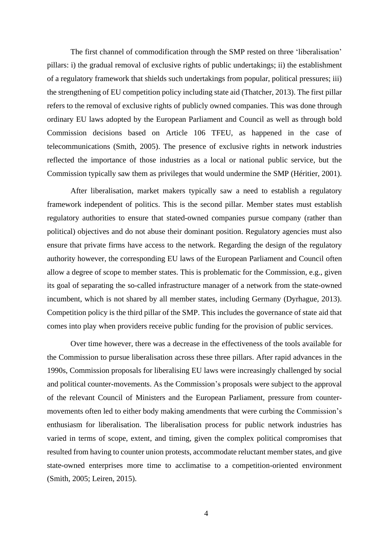The first channel of commodification through the SMP rested on three 'liberalisation' pillars: i) the gradual removal of exclusive rights of public undertakings; ii) the establishment of a regulatory framework that shields such undertakings from popular, political pressures; iii) the strengthening of EU competition policy including state aid (Thatcher, 2013). The first pillar refers to the removal of exclusive rights of publicly owned companies. This was done through ordinary EU laws adopted by the European Parliament and Council as well as through bold Commission decisions based on Article 106 TFEU, as happened in the case of telecommunications (Smith, 2005). The presence of exclusive rights in network industries reflected the importance of those industries as a local or national public service, but the Commission typically saw them as privileges that would undermine the SMP (Héritier, 2001).

After liberalisation, market makers typically saw a need to establish a regulatory framework independent of politics. This is the second pillar. Member states must establish regulatory authorities to ensure that stated-owned companies pursue company (rather than political) objectives and do not abuse their dominant position. Regulatory agencies must also ensure that private firms have access to the network. Regarding the design of the regulatory authority however, the corresponding EU laws of the European Parliament and Council often allow a degree of scope to member states. This is problematic for the Commission, e.g., given its goal of separating the so-called infrastructure manager of a network from the state-owned incumbent, which is not shared by all member states, including Germany (Dyrhague, 2013). Competition policy is the third pillar of the SMP. This includes the governance of state aid that comes into play when providers receive public funding for the provision of public services.

Over time however, there was a decrease in the effectiveness of the tools available for the Commission to pursue liberalisation across these three pillars. After rapid advances in the 1990s, Commission proposals for liberalising EU laws were increasingly challenged by social and political counter-movements. As the Commission's proposals were subject to the approval of the relevant Council of Ministers and the European Parliament, pressure from countermovements often led to either body making amendments that were curbing the Commission's enthusiasm for liberalisation. The liberalisation process for public network industries has varied in terms of scope, extent, and timing, given the complex political compromises that resulted from having to counter union protests, accommodate reluctant member states, and give state-owned enterprises more time to acclimatise to a competition-oriented environment (Smith, 2005; Leiren, 2015).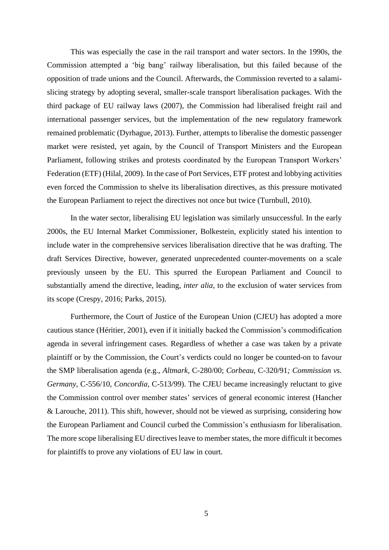This was especially the case in the rail transport and water sectors. In the 1990s, the Commission attempted a 'big bang' railway liberalisation, but this failed because of the opposition of trade unions and the Council. Afterwards, the Commission reverted to a salamislicing strategy by adopting several, smaller-scale transport liberalisation packages. With the third package of EU railway laws (2007), the Commission had liberalised freight rail and international passenger services, but the implementation of the new regulatory framework remained problematic (Dyrhague, 2013). Further, attempts to liberalise the domestic passenger market were resisted, yet again, by the Council of Transport Ministers and the European Parliament, following strikes and protests coordinated by the European Transport Workers' Federation (ETF) (Hilal, 2009). In the case of Port Services, ETF protest and lobbying activities even forced the Commission to shelve its liberalisation directives, as this pressure motivated the European Parliament to reject the directives not once but twice (Turnbull, 2010).

In the water sector, liberalising EU legislation was similarly unsuccessful. In the early 2000s, the EU Internal Market Commissioner, Bolkestein, explicitly stated his intention to include water in the comprehensive services liberalisation directive that he was drafting. The draft Services Directive, however, generated unprecedented counter-movements on a scale previously unseen by the EU. This spurred the European Parliament and Council to substantially amend the directive, leading, *inter alia*, to the exclusion of water services from its scope (Crespy, 2016; Parks, 2015).

Furthermore, the Court of Justice of the European Union (CJEU) has adopted a more cautious stance (Héritier, 2001), even if it initially backed the Commission's commodification agenda in several infringement cases. Regardless of whether a case was taken by a private plaintiff or by the Commission, the Court's verdicts could no longer be counted-on to favour the SMP liberalisation agenda (e.g., *Altmark,* C-280/00; *Corbeau,* C-320/91*; Commission vs. Germany*, C-556/10, *Concordia*, C-513/99). The CJEU became increasingly reluctant to give the Commission control over member states' services of general economic interest (Hancher & Larouche, 2011). This shift, however, should not be viewed as surprising, considering how the European Parliament and Council curbed the Commission's enthusiasm for liberalisation. The more scope liberalising EU directives leave to member states, the more difficult it becomes for plaintiffs to prove any violations of EU law in court.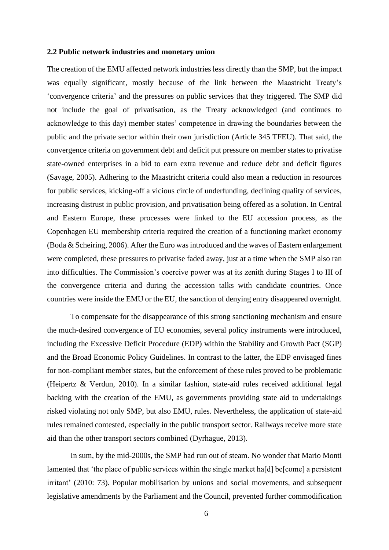# **2.2 Public network industries and monetary union**

The creation of the EMU affected network industries less directly than the SMP, but the impact was equally significant, mostly because of the link between the Maastricht Treaty's 'convergence criteria' and the pressures on public services that they triggered. The SMP did not include the goal of privatisation, as the Treaty acknowledged (and continues to acknowledge to this day) member states' competence in drawing the boundaries between the public and the private sector within their own jurisdiction (Article 345 TFEU). That said, the convergence criteria on government debt and deficit put pressure on member states to privatise state-owned enterprises in a bid to earn extra revenue and reduce debt and deficit figures (Savage, 2005). Adhering to the Maastricht criteria could also mean a reduction in resources for public services, kicking-off a vicious circle of underfunding, declining quality of services, increasing distrust in public provision, and privatisation being offered as a solution. In Central and Eastern Europe, these processes were linked to the EU accession process, as the Copenhagen EU membership criteria required the creation of a functioning market economy (Boda & Scheiring, 2006). After the Euro wasintroduced and the waves of Eastern enlargement were completed, these pressures to privatise faded away, just at a time when the SMP also ran into difficulties. The Commission's coercive power was at its zenith during Stages I to III of the convergence criteria and during the accession talks with candidate countries. Once countries were inside the EMU or the EU, the sanction of denying entry disappeared overnight.

To compensate for the disappearance of this strong sanctioning mechanism and ensure the much-desired convergence of EU economies, several policy instruments were introduced, including the Excessive Deficit Procedure (EDP) within the Stability and Growth Pact (SGP) and the Broad Economic Policy Guidelines. In contrast to the latter, the EDP envisaged fines for non-compliant member states, but the enforcement of these rules proved to be problematic (Heipertz & Verdun, 2010). In a similar fashion, state-aid rules received additional legal backing with the creation of the EMU, as governments providing state aid to undertakings risked violating not only SMP, but also EMU, rules. Nevertheless, the application of state-aid rules remained contested, especially in the public transport sector. Railways receive more state aid than the other transport sectors combined (Dyrhague, 2013).

In sum, by the mid-2000s, the SMP had run out of steam. No wonder that Mario Monti lamented that 'the place of public services within the single market hald be [come] a persistent irritant' (2010: 73). Popular mobilisation by unions and social movements, and subsequent legislative amendments by the Parliament and the Council, prevented further commodification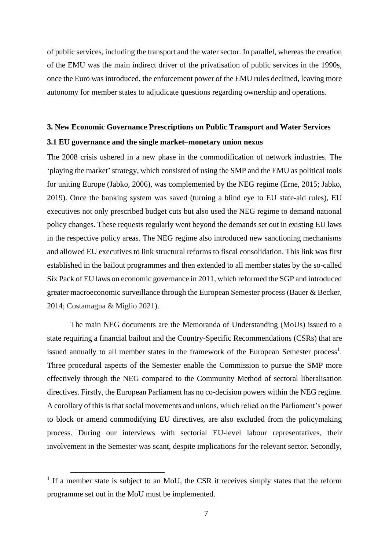of public services, including the transport and the water sector. In parallel, whereas the creation of the EMU was the main indirect driver of the privatisation of public services in the 1990s, once the Euro was introduced, the enforcement power of the EMU rules declined, leaving more autonomy for member states to adjudicate questions regarding ownership and operations.

# **3. New Economic Governance Prescriptions on Public Transport and Water Services**

# **3.1 EU governance and the single market–monetary union nexus**

The 2008 crisis ushered in a new phase in the commodification of network industries. The 'playing the market' strategy, which consisted of using the SMP and the EMU as political tools for uniting Europe (Jabko, 2006), was complemented by the NEG regime (Erne, 2015; Jabko, 2019). Once the banking system was saved (turning a blind eye to EU state-aid rules), EU executives not only prescribed budget cuts but also used the NEG regime to demand national policy changes. These requests regularly went beyond the demands set out in existing EU laws in the respective policy areas. The NEG regime also introduced new sanctioning mechanisms and allowed EU executives to link structural reforms to fiscal consolidation. This link was first established in the bailout programmes and then extended to all member states by the so-called Six Pack of EU laws on economic governance in 2011, which reformed the SGP and introduced greater macroeconomic surveillance through the European Semester process (Bauer & Becker, 2014; Costamagna & Miglio 2021).

The main NEG documents are the Memoranda of Understanding (MoUs) issued to a state requiring a financial bailout and the Country-Specific Recommendations (CSRs) that are issued annually to all member states in the framework of the European Semester process<sup>1</sup>. Three procedural aspects of the Semester enable the Commission to pursue the SMP more effectively through the NEG compared to the Community Method of sectoral liberalisation directives. Firstly, the European Parliament has no co-decision powers within the NEG regime. A corollary of this is that social movements and unions, which relied on the Parliament's power to block or amend commodifying EU directives, are also excluded from the policymaking process. During our interviews with sectorial EU-level labour representatives, their involvement in the Semester was scant, despite implications for the relevant sector. Secondly,

<sup>&</sup>lt;sup>1</sup> If a member state is subject to an MoU, the CSR it receives simply states that the reform programme set out in the MoU must be implemented.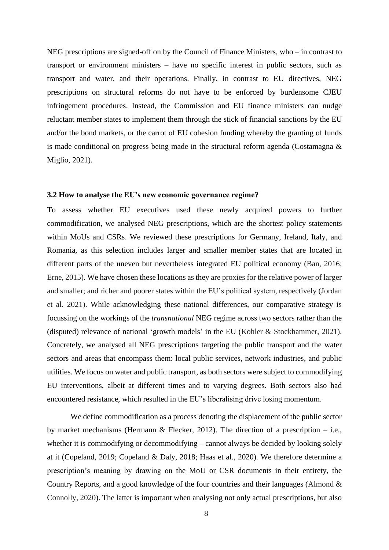NEG prescriptions are signed-off on by the Council of Finance Ministers, who – in contrast to transport or environment ministers – have no specific interest in public sectors, such as transport and water, and their operations. Finally, in contrast to EU directives, NEG prescriptions on structural reforms do not have to be enforced by burdensome CJEU infringement procedures. Instead, the Commission and EU finance ministers can nudge reluctant member states to implement them through the stick of financial sanctions by the EU and/or the bond markets, or the carrot of EU cohesion funding whereby the granting of funds is made conditional on progress being made in the structural reform agenda (Costamagna & Miglio, 2021).

# **3.2 How to analyse the EU's new economic governance regime?**

To assess whether EU executives used these newly acquired powers to further commodification, we analysed NEG prescriptions, which are the shortest policy statements within MoUs and CSRs. We reviewed these prescriptions for Germany, Ireland, Italy, and Romania, as this selection includes larger and smaller member states that are located in different parts of the uneven but nevertheless integrated EU political economy (Ban, 2016; Erne, 2015). We have chosen these locations as they are proxies for the relative power of larger and smaller; and richer and poorer states within the EU's political system, respectively (Jordan et al. 2021). While acknowledging these national differences, our comparative strategy is focussing on the workings of the *transnational* NEG regime across two sectors rather than the (disputed) relevance of national 'growth models' in the EU (Kohler & Stockhammer, 2021). Concretely, we analysed all NEG prescriptions targeting the public transport and the water sectors and areas that encompass them: local public services, network industries, and public utilities. We focus on water and public transport, as both sectors were subject to commodifying EU interventions, albeit at different times and to varying degrees. Both sectors also had encountered resistance, which resulted in the EU's liberalising drive losing momentum.

We define commodification as a process denoting the displacement of the public sector by market mechanisms (Hermann & Flecker, 2012). The direction of a prescription – i.e., whether it is commodifying or decommodifying – cannot always be decided by looking solely at it (Copeland, 2019; Copeland & Daly, 2018; Haas et al., 2020). We therefore determine a prescription's meaning by drawing on the MoU or CSR documents in their entirety, the Country Reports, and a good knowledge of the four countries and their languages (Almond  $\&$ Connolly, 2020). The latter is important when analysing not only actual prescriptions, but also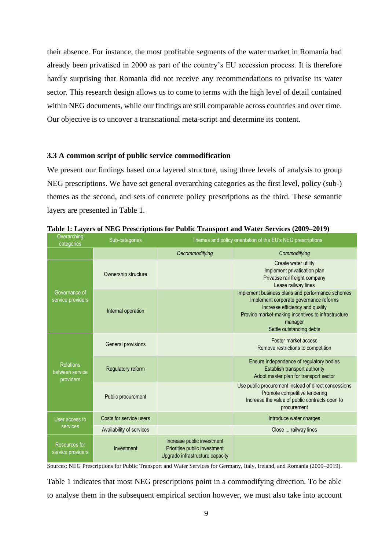their absence. For instance, the most profitable segments of the water market in Romania had already been privatised in 2000 as part of the country's EU accession process. It is therefore hardly surprising that Romania did not receive any recommendations to privatise its water sector. This research design allows us to come to terms with the high level of detail contained within NEG documents, while our findings are still comparable across countries and over time. Our objective is to uncover a transnational meta-script and determine its content.

## **3.3 A common script of public service commodification**

We present our findings based on a layered structure, using three levels of analysis to group NEG prescriptions. We have set general overarching categories as the first level, policy (sub-) themes as the second, and sets of concrete policy prescriptions as the third. These semantic layers are presented in Table 1.

| Overarching<br>categories                        | Sub-categories           | Themes and policy orientation of the EU's NEG prescriptions                                   |                                                                                                                                                                                                                            |  |  |  |
|--------------------------------------------------|--------------------------|-----------------------------------------------------------------------------------------------|----------------------------------------------------------------------------------------------------------------------------------------------------------------------------------------------------------------------------|--|--|--|
|                                                  |                          | Decommodifying                                                                                | Commodifying                                                                                                                                                                                                               |  |  |  |
| Governance of<br>service providers               | Ownership structure      |                                                                                               | Create water utility<br>Implement privatisation plan<br>Privatise rail freight company<br>Lease railway lines                                                                                                              |  |  |  |
|                                                  | Internal operation       |                                                                                               | Implement business plans and performance schemes<br>Implement corporate governance reforms<br>Increase efficiency and quality<br>Provide market-making incentives to infrastructure<br>manager<br>Settle outstanding debts |  |  |  |
| <b>Relations</b><br>between service<br>providers | General provisions       |                                                                                               | Foster market access<br>Remove restrictions to competition                                                                                                                                                                 |  |  |  |
|                                                  | Regulatory reform        |                                                                                               | Ensure independence of regulatory bodies<br>Establish transport authority<br>Adopt master plan for transport sector                                                                                                        |  |  |  |
|                                                  | Public procurement       |                                                                                               | Use public procurement instead of direct concessions<br>Promote competitive tendering<br>Increase the value of public contracts open to<br>procurement                                                                     |  |  |  |
| User access to<br>services                       | Costs for service users  |                                                                                               | Introduce water charges                                                                                                                                                                                                    |  |  |  |
|                                                  | Availability of services |                                                                                               | Close  railway lines                                                                                                                                                                                                       |  |  |  |
| Resources for<br>service providers               | Investment               | Increase public investment<br>Prioritise public investment<br>Upgrade infrastructure capacity |                                                                                                                                                                                                                            |  |  |  |

**Table 1: Layers of NEG Prescriptions for Public Transport and Water Services (2009–2019)**

Sources: NEG Prescriptions for Public Transport and Water Services for Germany, Italy, Ireland, and Romania (2009–2019).

Table 1 indicates that most NEG prescriptions point in a commodifying direction. To be able to analyse them in the subsequent empirical section however, we must also take into account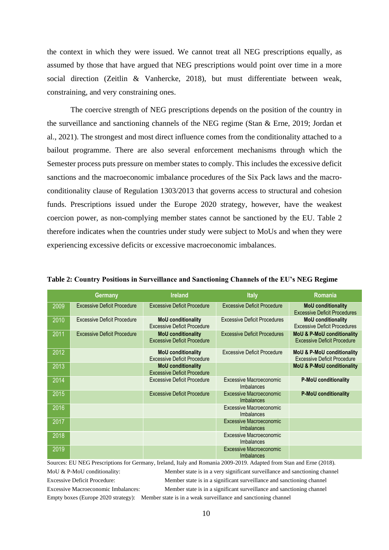the context in which they were issued. We cannot treat all NEG prescriptions equally, as assumed by those that have argued that NEG prescriptions would point over time in a more social direction (Zeitlin & Vanhercke, 2018), but must differentiate between weak, constraining, and very constraining ones.

The coercive strength of NEG prescriptions depends on the position of the country in the surveillance and sanctioning channels of the NEG regime (Stan & Erne, 2019; Jordan et al., 2021). The strongest and most direct influence comes from the conditionality attached to a bailout programme. There are also several enforcement mechanisms through which the Semester process puts pressure on member states to comply. This includes the excessive deficit sanctions and the macroeconomic imbalance procedures of the Six Pack laws and the macroconditionality clause of Regulation 1303/2013 that governs access to structural and cohesion funds. Prescriptions issued under the Europe 2020 strategy, however, have the weakest coercion power, as non-complying member states cannot be sanctioned by the EU. Table 2 therefore indicates when the countries under study were subject to MoUs and when they were experiencing excessive deficits or excessive macroeconomic imbalances.

|      | Germany                            | <b>Ireland</b>                                                  | <b>Italy</b>                                        | Romania                                                                     |
|------|------------------------------------|-----------------------------------------------------------------|-----------------------------------------------------|-----------------------------------------------------------------------------|
| 2009 | <b>Excessive Deficit Procedure</b> | <b>Excessive Deficit Procedure</b>                              | <b>Excessive Deficit Procedure</b>                  | <b>MoU</b> conditionality<br><b>Excessive Deficit Procedures</b>            |
| 2010 | <b>Excessive Deficit Procedure</b> | <b>MoU</b> conditionality<br><b>Excessive Deficit Procedure</b> | <b>Excessive Deficit Procedures</b>                 | <b>MoU</b> conditionality<br><b>Excessive Deficit Procedures</b>            |
| 2011 | <b>Excessive Deficit Procedure</b> | <b>MoU</b> conditionality<br><b>Excessive Deficit Procedure</b> | <b>Excessive Deficit Procedures</b>                 | <b>MoU &amp; P-MoU conditionality</b><br><b>Excessive Deficit Procedure</b> |
| 2012 |                                    | <b>MoU</b> conditionality<br><b>Excessive Deficit Procedure</b> | <b>Excessive Deficit Procedure</b>                  | <b>MoU &amp; P-MoU conditionality</b><br><b>Excessive Deficit Procedure</b> |
| 2013 |                                    | <b>MoU</b> conditionality<br><b>Excessive Deficit Procedure</b> |                                                     | <b>MoU &amp; P-MoU conditionality</b>                                       |
| 2014 |                                    | <b>Excessive Deficit Procedure</b>                              | Excessive Macroeconomic<br>Imbalances               | <b>P-MoU conditionality</b>                                                 |
| 2015 |                                    | <b>Excessive Deficit Procedure</b>                              | Excessive Macroeconomic<br>Imbalances               | <b>P-MoU conditionality</b>                                                 |
| 2016 |                                    |                                                                 | Excessive Macroeconomic<br>Imbalances               |                                                                             |
| 2017 |                                    |                                                                 | <b>Excessive Macroeconomic</b><br><b>Imbalances</b> |                                                                             |
| 2018 |                                    |                                                                 | Excessive Macroeconomic<br><b>Imbalances</b>        |                                                                             |
| 2019 |                                    |                                                                 | <b>Excessive Macroeconomic</b><br><b>Imbalances</b> |                                                                             |

**Table 2: Country Positions in Surveillance and Sanctioning Channels of the EU's NEG Regime** 

Sources: EU NEG Prescriptions for Germany, Ireland, Italy and Romania 2009-2019. Adapted from Stan and Erne (2018). MoU & P-MoU conditionality: Member state is in a very significant surveillance and sanctioning channel Excessive Deficit Procedure: Member state is in a significant surveillance and sanctioning channel Excessive Macroeconomic Imbalances: Member state is in a significant surveillance and sanctioning channel

Empty boxes (Europe 2020 strategy): Member state is in a weak surveillance and sanctioning channel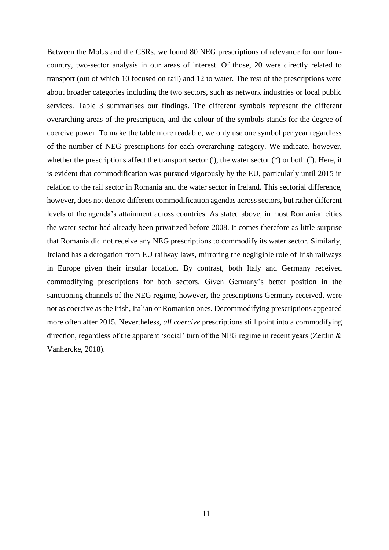Between the MoUs and the CSRs, we found 80 NEG prescriptions of relevance for our fourcountry, two-sector analysis in our areas of interest. Of those, 20 were directly related to transport (out of which 10 focused on rail) and 12 to water. The rest of the prescriptions were about broader categories including the two sectors, such as network industries or local public services. Table 3 summarises our findings. The different symbols represent the different overarching areas of the prescription, and the colour of the symbols stands for the degree of coercive power. To make the table more readable, we only use one symbol per year regardless of the number of NEG prescriptions for each overarching category. We indicate, however, whether the prescriptions affect the transport sector  $(1)$ , the water sector  $(1)$  or both  $(2)$ . Here, it is evident that commodification was pursued vigorously by the EU, particularly until 2015 in relation to the rail sector in Romania and the water sector in Ireland. This sectorial difference, however, does not denote different commodification agendas across sectors, but rather different levels of the agenda's attainment across countries. As stated above, in most Romanian cities the water sector had already been privatized before 2008. It comes therefore as little surprise that Romania did not receive any NEG prescriptions to commodify its water sector. Similarly, Ireland has a derogation from EU railway laws, mirroring the negligible role of Irish railways in Europe given their insular location. By contrast, both Italy and Germany received commodifying prescriptions for both sectors. Given Germany's better position in the sanctioning channels of the NEG regime, however, the prescriptions Germany received, were not as coercive as the Irish, Italian or Romanian ones. Decommodifying prescriptions appeared more often after 2015. Nevertheless, *all coercive* prescriptions still point into a commodifying direction, regardless of the apparent 'social' turn of the NEG regime in recent years (Zeitlin & Vanhercke, 2018).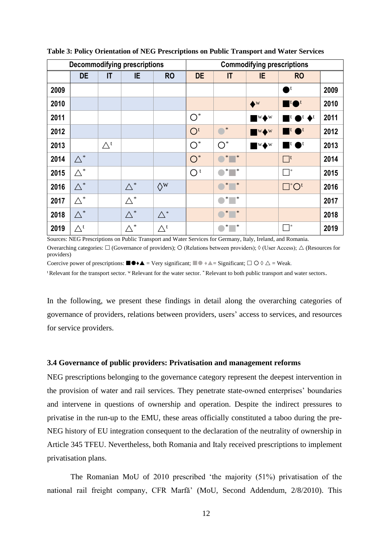| <b>Decommodifying prescriptions</b> |                           |                 | <b>Commodifying prescriptions</b> |                           |                |                               |                              |                                            |      |
|-------------------------------------|---------------------------|-----------------|-----------------------------------|---------------------------|----------------|-------------------------------|------------------------------|--------------------------------------------|------|
|                                     | <b>DE</b>                 | IT              | IE                                | <b>RO</b>                 | <b>DE</b>      | $\mathsf{I}\mathsf{T}$        | IE.                          | <b>RO</b>                                  |      |
| 2009                                |                           |                 |                                   |                           |                |                               |                              | $\bullet$ t                                | 2009 |
| 2010                                |                           |                 |                                   |                           |                |                               | $\blacklozenge^{\mathrm{w}}$ | $\mathbf{H}$ t $\bullet$ <sup>t</sup>      | 2010 |
| 2011                                |                           |                 |                                   |                           | $O^*$          |                               | $W\blacklozenge W$           | $\blacksquare$ t $\bigcirc$ t $\bigstar$ t | 2011 |
| 2012                                |                           |                 |                                   |                           | O <sup>t</sup> | $\bullet^*$                   | $W\blacklozenge W$           | $\mathbf{t} \bullet$                       | 2012 |
| 2013                                |                           | $\triangle^{t}$ |                                   |                           | $O^*$          | $O^*$                         | $W\blacklozenge W$           | $\mathbf{u}$ of                            | 2013 |
| 2014                                | $\triangle^*$             |                 |                                   |                           | $O^*$          | $*$ $\qquad$ $*$              |                              | $\Box^{\text{t}}$                          | 2014 |
| 2015                                | $\triangle^*$             |                 |                                   |                           | O <sup>t</sup> | $*$ $*$                       |                              | $\overline{\phantom{a}}$                   | 2015 |
| 2016                                | $\triangle^*$             |                 | $\triangle^*$                     | $\Diamond^{\mathrm{w}}$   |                | $\ast$<br>$\blacksquare^*$    |                              | $\square^* O^t$                            | 2016 |
| 2017                                | $\triangle^*$             |                 | $\triangle^*$                     |                           |                | ∗<br>$\blacksquare$           |                              |                                            | 2017 |
| 2018                                | $\triangle^*$             |                 | $\wedge^*$                        | $\wedge^*$                |                | $\longrightarrow$<br>$\ast$   |                              |                                            | 2018 |
| 2019                                | $\triangle^{\mathfrak t}$ |                 | $\wedge^*$                        | $\triangle^{\mathfrak t}$ |                | $\overline{\phantom{a}}$<br>∗ |                              | $\overline{\phantom{a}}^*$                 | 2019 |

**Table 3: Policy Orientation of NEG Prescriptions on Public Transport and Water Services** 

Sources: NEG Prescriptions on Public Transport and Water Services for Germany, Italy, Ireland, and Romania. Overarching categories:  $\Box$  (Governance of providers);  $\Diamond$  (Relations between providers);  $\Diamond$  (User Access);  $\triangle$  (Resources for providers)

Coercive power of prescriptions:  $\blacksquare \blacklozenge \blacktriangle = \text{Very significant; } \blacksquare \blacklozenge \blacktriangle = \text{Significant; } \square \bigcirc \lozenge \triangle = \text{Weak.}$ 

<sup>t</sup>Relevant for the transport sector. <sup>w</sup>Relevant for the water sector. \*Relevant to both public transport and water sectors.

In the following, we present these findings in detail along the overarching categories of governance of providers, relations between providers, users' access to services, and resources for service providers.

## **3.4 Governance of public providers: Privatisation and management reforms**

NEG prescriptions belonging to the governance category represent the deepest intervention in the provision of water and rail services. They penetrate state-owned enterprises' boundaries and intervene in questions of ownership and operation. Despite the indirect pressures to privatise in the run-up to the EMU, these areas officially constituted a taboo during the pre-NEG history of EU integration consequent to the declaration of the neutrality of ownership in Article 345 TFEU. Nevertheless, both Romania and Italy received prescriptions to implement privatisation plans.

The Romanian MoU of 2010 prescribed 'the majority (51%) privatisation of the national rail freight company, CFR Marfă' (MoU, Second Addendum, 2/8/2010). This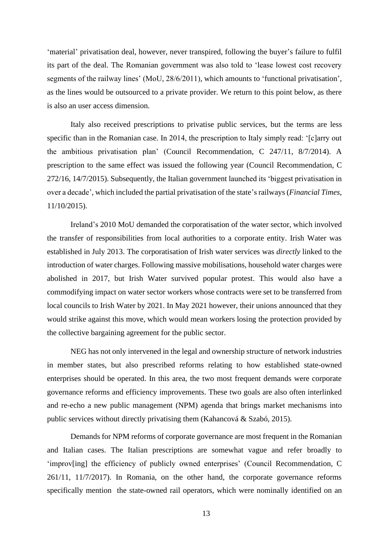'material' privatisation deal, however, never transpired, following the buyer's failure to fulfil its part of the deal. The Romanian government was also told to 'lease lowest cost recovery segments of the railway lines' (MoU, 28/6/2011), which amounts to 'functional privatisation', as the lines would be outsourced to a private provider. We return to this point below, as there is also an user access dimension.

Italy also received prescriptions to privatise public services, but the terms are less specific than in the Romanian case. In 2014, the prescription to Italy simply read: '[c]arry out the ambitious privatisation plan' (Council Recommendation, C 247/11, 8/7/2014). A prescription to the same effect was issued the following year (Council Recommendation, C 272/16, 14/7/2015). Subsequently, the Italian government launched its 'biggest privatisation in over a decade', which included the partial privatisation of the state'srailways(*Financial Times*, 11/10/2015).

Ireland's 2010 MoU demanded the corporatisation of the water sector, which involved the transfer of responsibilities from local authorities to a corporate entity. Irish Water was established in July 2013. The corporatisation of Irish water services was *directly* linked to the introduction of water charges. Following massive mobilisations, household water charges were abolished in 2017, but Irish Water survived popular protest. This would also have a commodifying impact on water sector workers whose contracts were set to be transferred from local councils to Irish Water by 2021. In May 2021 however, their unions announced that they would strike against this move, which would mean workers losing the protection provided by the collective bargaining agreement for the public sector.

NEG has not only intervened in the legal and ownership structure of network industries in member states, but also prescribed reforms relating to how established state-owned enterprises should be operated. In this area, the two most frequent demands were corporate governance reforms and efficiency improvements. These two goals are also often interlinked and re-echo a new public management (NPM) agenda that brings market mechanisms into public services without directly privatising them (Kahancová & Szabó, 2015).

Demands for NPM reforms of corporate governance are most frequent in the Romanian and Italian cases. The Italian prescriptions are somewhat vague and refer broadly to 'improv[ing] the efficiency of publicly owned enterprises' (Council Recommendation, C 261/11, 11/7/2017). In Romania, on the other hand, the corporate governance reforms specifically mention the state-owned rail operators, which were nominally identified on an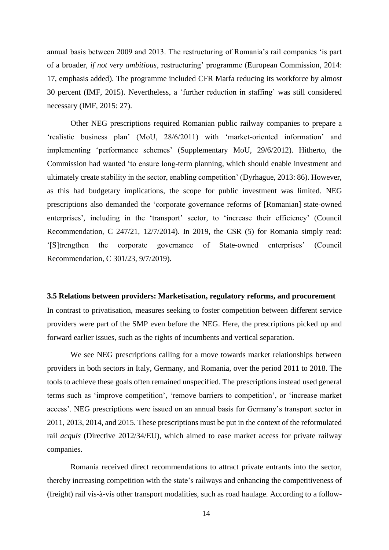annual basis between 2009 and 2013. The restructuring of Romania's rail companies 'is part of a broader, *if not very ambitious*, restructuring' programme (European Commission, 2014: 17, emphasis added). The programme included CFR Marfa reducing its workforce by almost 30 percent (IMF, 2015). Nevertheless, a 'further reduction in staffing' was still considered necessary (IMF, 2015: 27).

Other NEG prescriptions required Romanian public railway companies to prepare a 'realistic business plan' (MoU, 28/6/2011) with 'market-oriented information' and implementing 'performance schemes' (Supplementary MoU, 29/6/2012). Hitherto, the Commission had wanted 'to ensure long-term planning, which should enable investment and ultimately create stability in the sector, enabling competition' (Dyrhague, 2013: 86). However, as this had budgetary implications, the scope for public investment was limited. NEG prescriptions also demanded the 'corporate governance reforms of [Romanian] state-owned enterprises', including in the 'transport' sector, to 'increase their efficiency' (Council Recommendation, C 247/21, 12/7/2014). In 2019, the CSR (5) for Romania simply read: '[S]trengthen the corporate governance of State-owned enterprises' (Council Recommendation, C 301/23, 9/7/2019).

#### **3.5 Relations between providers: Marketisation, regulatory reforms, and procurement**

In contrast to privatisation, measures seeking to foster competition between different service providers were part of the SMP even before the NEG. Here, the prescriptions picked up and forward earlier issues, such as the rights of incumbents and vertical separation.

We see NEG prescriptions calling for a move towards market relationships between providers in both sectors in Italy, Germany, and Romania, over the period 2011 to 2018. The tools to achieve these goals often remained unspecified. The prescriptions instead used general terms such as 'improve competition', 'remove barriers to competition', or 'increase market access'. NEG prescriptions were issued on an annual basis for Germany's transport sector in 2011, 2013, 2014, and 2015. These prescriptions must be put in the context of the reformulated rail *acquis* (Directive 2012/34/EU), which aimed to ease market access for private railway companies.

Romania received direct recommendations to attract private entrants into the sector, thereby increasing competition with the state's railways and enhancing the competitiveness of (freight) rail vis-à-vis other transport modalities, such as road haulage. According to a follow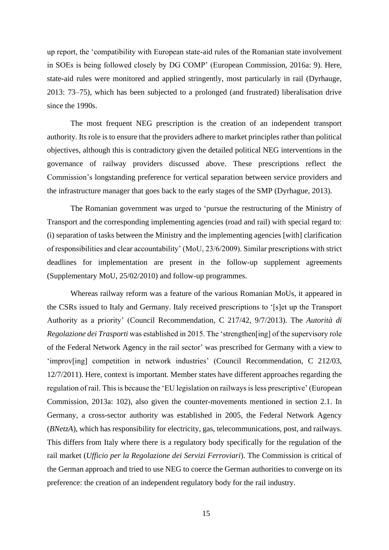up report, the 'compatibility with European state-aid rules of the Romanian state involvement in SOEs is being followed closely by DG COMP' (European Commission, 2016a: 9). Here, state-aid rules were monitored and applied stringently, most particularly in rail (Dyrhauge, 2013: 73–75), which has been subjected to a prolonged (and frustrated) liberalisation drive since the 1990s.

The most frequent NEG prescription is the creation of an independent transport authority. Its role is to ensure that the providers adhere to market principles rather than political objectives, although this is contradictory given the detailed political NEG interventions in the governance of railway providers discussed above. These prescriptions reflect the Commission's longstanding preference for vertical separation between service providers and the infrastructure manager that goes back to the early stages of the SMP (Dyrhague, 2013).

The Romanian government was urged to 'pursue the restructuring of the Ministry of Transport and the corresponding implementing agencies (road and rail) with special regard to: (i) separation of tasks between the Ministry and the implementing agencies [with] clarification of responsibilities and clear accountability' (MoU, 23/6/2009). Similar prescriptions with strict deadlines for implementation are present in the follow-up supplement agreements (Supplementary MoU, 25/02/2010) and follow-up programmes.

Whereas railway reform was a feature of the various Romanian MoUs, it appeared in the CSRs issued to Italy and Germany. Italy received prescriptions to '[s]et up the Transport Authority as a priority' (Council Recommendation, C 217/42, 9/7/2013). The *Autorità di Regolazione dei Trasporti* was established in 2015. The 'strengthen[ing] of the supervisory role of the Federal Network Agency in the rail sector' was prescribed for Germany with a view to 'improv[ing] competition in network industries' (Council Recommendation, C 212/03, 12/7/2011). Here, context is important. Member states have different approaches regarding the regulation of rail. This is because the 'EU legislation on railways is less prescriptive' (European Commission, 2013a: 102), also given the counter-movements mentioned in section 2.1. In Germany, a cross-sector authority was established in 2005, the Federal Network Agency (*BNetzA*), which has responsibility for electricity, gas, telecommunications, post, and railways. This differs from Italy where there is a regulatory body specifically for the regulation of the rail market (*Ufficio per la Regolazione dei Servizi Ferroviari*). The Commission is critical of the German approach and tried to use NEG to coerce the German authorities to converge on its preference: the creation of an independent regulatory body for the rail industry.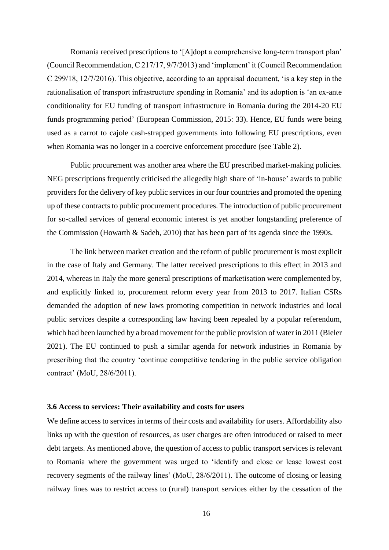Romania received prescriptions to '[A]dopt a comprehensive long-term transport plan' (Council Recommendation, C 217/17, 9/7/2013) and 'implement' it (Council Recommendation C 299/18, 12/7/2016). This objective, according to an appraisal document, 'is a key step in the rationalisation of transport infrastructure spending in Romania' and its adoption is 'an ex-ante conditionality for EU funding of transport infrastructure in Romania during the 2014-20 EU funds programming period' (European Commission, 2015: 33). Hence, EU funds were being used as a carrot to cajole cash-strapped governments into following EU prescriptions, even when Romania was no longer in a coercive enforcement procedure (see Table 2).

Public procurement was another area where the EU prescribed market-making policies. NEG prescriptions frequently criticised the allegedly high share of 'in-house' awards to public providers for the delivery of key public services in our four countries and promoted the opening up of these contracts to public procurement procedures. The introduction of public procurement for so-called services of general economic interest is yet another longstanding preference of the Commission (Howarth & Sadeh, 2010) that has been part of its agenda since the 1990s.

The link between market creation and the reform of public procurement is most explicit in the case of Italy and Germany. The latter received prescriptions to this effect in 2013 and 2014, whereas in Italy the more general prescriptions of marketisation were complemented by, and explicitly linked to, procurement reform every year from 2013 to 2017. Italian CSRs demanded the adoption of new laws promoting competition in network industries and local public services despite a corresponding law having been repealed by a popular referendum, which had been launched by a broad movement for the public provision of water in 2011 (Bieler 2021). The EU continued to push a similar agenda for network industries in Romania by prescribing that the country 'continue competitive tendering in the public service obligation contract' (MoU, 28/6/2011).

# **3.6 Access to services: Their availability and costs for users**

We define access to services in terms of their costs and availability for users. Affordability also links up with the question of resources, as user charges are often introduced or raised to meet debt targets. As mentioned above, the question of access to public transport services is relevant to Romania where the government was urged to 'identify and close or lease lowest cost recovery segments of the railway lines' (MoU, 28/6/2011). The outcome of closing or leasing railway lines was to restrict access to (rural) transport services either by the cessation of the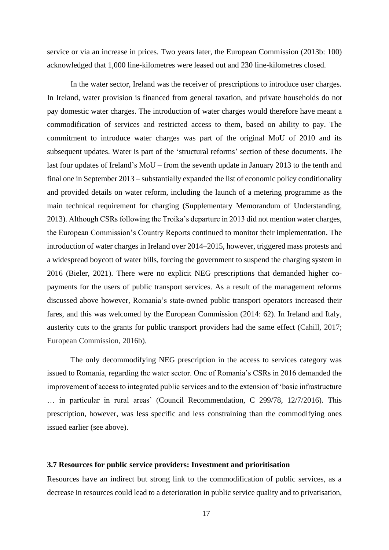service or via an increase in prices. Two years later, the European Commission (2013b: 100) acknowledged that 1,000 line-kilometres were leased out and 230 line-kilometres closed.

In the water sector, Ireland was the receiver of prescriptions to introduce user charges. In Ireland, water provision is financed from general taxation, and private households do not pay domestic water charges. The introduction of water charges would therefore have meant a commodification of services and restricted access to them, based on ability to pay. The commitment to introduce water charges was part of the original MoU of 2010 and its subsequent updates. Water is part of the 'structural reforms' section of these documents. The last four updates of Ireland's MoU – from the seventh update in January 2013 to the tenth and final one in September 2013 – substantially expanded the list of economic policy conditionality and provided details on water reform, including the launch of a metering programme as the main technical requirement for charging (Supplementary Memorandum of Understanding, 2013). Although CSRs following the Troika's departure in 2013 did not mention water charges, the European Commission's Country Reports continued to monitor their implementation. The introduction of water charges in Ireland over 2014–2015, however, triggered mass protests and a widespread boycott of water bills, forcing the government to suspend the charging system in 2016 (Bieler, 2021). There were no explicit NEG prescriptions that demanded higher copayments for the users of public transport services. As a result of the management reforms discussed above however, Romania's state-owned public transport operators increased their fares, and this was welcomed by the European Commission (2014: 62). In Ireland and Italy, austerity cuts to the grants for public transport providers had the same effect (Cahill, 2017; European Commission, 2016b).

The only decommodifying NEG prescription in the access to services category was issued to Romania, regarding the water sector. One of Romania's CSRs in 2016 demanded the improvement of access to integrated public services and to the extension of 'basic infrastructure … in particular in rural areas' (Council Recommendation, C 299/78, 12/7/2016). This prescription, however, was less specific and less constraining than the commodifying ones issued earlier (see above).

# **3.7 Resources for public service providers: Investment and prioritisation**

Resources have an indirect but strong link to the commodification of public services, as a decrease in resources could lead to a deterioration in public service quality and to privatisation,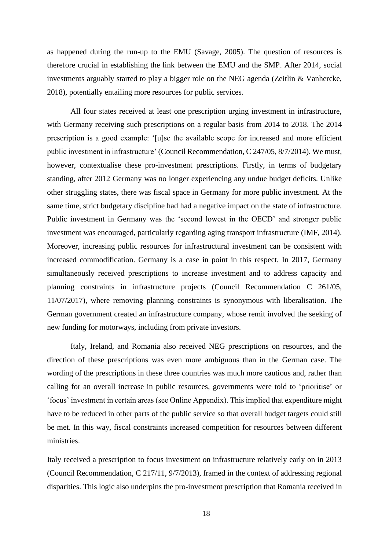as happened during the run-up to the EMU (Savage, 2005). The question of resources is therefore crucial in establishing the link between the EMU and the SMP. After 2014, social investments arguably started to play a bigger role on the NEG agenda (Zeitlin & Vanhercke, 2018), potentially entailing more resources for public services.

All four states received at least one prescription urging investment in infrastructure, with Germany receiving such prescriptions on a regular basis from 2014 to 2018. The 2014 prescription is a good example: '[u]se the available scope for increased and more efficient public investment in infrastructure' (Council Recommendation, C 247/05, 8/7/2014). We must, however, contextualise these pro-investment prescriptions. Firstly, in terms of budgetary standing, after 2012 Germany was no longer experiencing any undue budget deficits. Unlike other struggling states, there was fiscal space in Germany for more public investment. At the same time, strict budgetary discipline had had a negative impact on the state of infrastructure. Public investment in Germany was the 'second lowest in the OECD' and stronger public investment was encouraged, particularly regarding aging transport infrastructure (IMF, 2014). Moreover, increasing public resources for infrastructural investment can be consistent with increased commodification. Germany is a case in point in this respect. In 2017, Germany simultaneously received prescriptions to increase investment and to address capacity and planning constraints in infrastructure projects (Council Recommendation C 261/05, 11/07/2017), where removing planning constraints is synonymous with liberalisation. The German government created an infrastructure company, whose remit involved the seeking of new funding for motorways, including from private investors.

Italy, Ireland, and Romania also received NEG prescriptions on resources, and the direction of these prescriptions was even more ambiguous than in the German case. The wording of the prescriptions in these three countries was much more cautious and, rather than calling for an overall increase in public resources, governments were told to 'prioritise' or 'focus' investment in certain areas (see Online Appendix). This implied that expenditure might have to be reduced in other parts of the public service so that overall budget targets could still be met. In this way, fiscal constraints increased competition for resources between different ministries.

Italy received a prescription to focus investment on infrastructure relatively early on in 2013 (Council Recommendation, C 217/11, 9/7/2013), framed in the context of addressing regional disparities. This logic also underpins the pro-investment prescription that Romania received in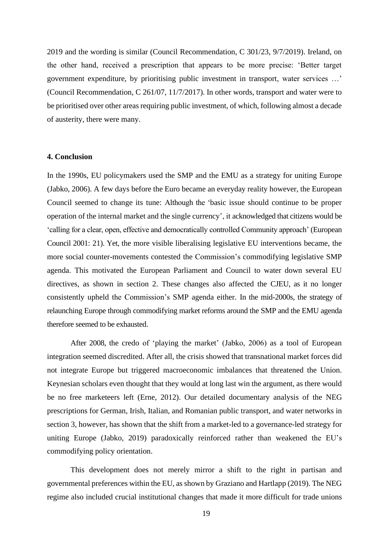2019 and the wording is similar (Council Recommendation, C 301/23, 9/7/2019). Ireland, on the other hand, received a prescription that appears to be more precise: 'Better target government expenditure, by prioritising public investment in transport, water services …' (Council Recommendation, C 261/07, 11/7/2017). In other words, transport and water were to be prioritised over other areas requiring public investment, of which, following almost a decade of austerity, there were many.

# **4. Conclusion**

In the 1990s, EU policymakers used the SMP and the EMU as a strategy for uniting Europe (Jabko, 2006). A few days before the Euro became an everyday reality however, the European Council seemed to change its tune: Although the 'basic issue should continue to be proper operation of the internal market and the single currency', it acknowledged that citizens would be 'calling for a clear, open, effective and democratically controlled Community approach' (European Council 2001: 21). Yet, the more visible liberalising legislative EU interventions became, the more social counter-movements contested the Commission's commodifying legislative SMP agenda. This motivated the European Parliament and Council to water down several EU directives, as shown in section 2. These changes also affected the CJEU, as it no longer consistently upheld the Commission's SMP agenda either. In the mid-2000s, the strategy of relaunching Europe through commodifying market reforms around the SMP and the EMU agenda therefore seemed to be exhausted.

After 2008, the credo of 'playing the market' (Jabko, 2006) as a tool of European integration seemed discredited. After all, the crisis showed that transnational market forces did not integrate Europe but triggered macroeconomic imbalances that threatened the Union. Keynesian scholars even thought that they would at long last win the argument, as there would be no free marketeers left (Erne, 2012). Our detailed documentary analysis of the NEG prescriptions for German, Irish, Italian, and Romanian public transport, and water networks in section 3, however, has shown that the shift from a market-led to a governance-led strategy for uniting Europe (Jabko, 2019) paradoxically reinforced rather than weakened the EU's commodifying policy orientation.

This development does not merely mirror a shift to the right in partisan and governmental preferences within the EU, as shown by Graziano and Hartlapp (2019). The NEG regime also included crucial institutional changes that made it more difficult for trade unions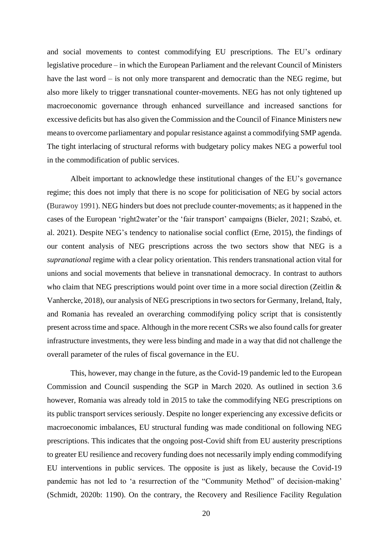and social movements to contest commodifying EU prescriptions. The EU's ordinary legislative procedure – in which the European Parliament and the relevant Council of Ministers have the last word – is not only more transparent and democratic than the NEG regime, but also more likely to trigger transnational counter-movements. NEG has not only tightened up macroeconomic governance through enhanced surveillance and increased sanctions for excessive deficits but has also given the Commission and the Council of Finance Ministers new means to overcome parliamentary and popular resistance against a commodifying SMP agenda. The tight interlacing of structural reforms with budgetary policy makes NEG a powerful tool in the commodification of public services.

Albeit important to acknowledge these institutional changes of the EU's governance regime; this does not imply that there is no scope for politicisation of NEG by social actors (Burawoy 1991). NEG hinders but does not preclude counter-movements; as it happened in the cases of the European 'right2water'or the 'fair transport' campaigns (Bieler, 2021; Szabó, et. al. 2021). Despite NEG's tendency to nationalise social conflict (Erne, 2015), the findings of our content analysis of NEG prescriptions across the two sectors show that NEG is a *supranational* regime with a clear policy orientation. This renders transnational action vital for unions and social movements that believe in transnational democracy. In contrast to authors who claim that NEG prescriptions would point over time in a more social direction (Zeitlin & Vanhercke, 2018), our analysis of NEG prescriptions in two sectorsfor Germany, Ireland, Italy, and Romania has revealed an overarching commodifying policy script that is consistently present across time and space. Although in the more recent CSRs we also found calls for greater infrastructure investments, they were less binding and made in a way that did not challenge the overall parameter of the rules of fiscal governance in the EU.

This, however, may change in the future, as the Covid-19 pandemic led to the European Commission and Council suspending the SGP in March 2020. As outlined in section 3.6 however, Romania was already told in 2015 to take the commodifying NEG prescriptions on its public transport services seriously. Despite no longer experiencing any excessive deficits or macroeconomic imbalances, EU structural funding was made conditional on following NEG prescriptions. This indicates that the ongoing post-Covid shift from EU austerity prescriptions to greater EU resilience and recovery funding does not necessarily imply ending commodifying EU interventions in public services. The opposite is just as likely, because the Covid-19 pandemic has not led to 'a resurrection of the "Community Method" of decision-making' (Schmidt, 2020b: 1190). On the contrary, the Recovery and Resilience Facility Regulation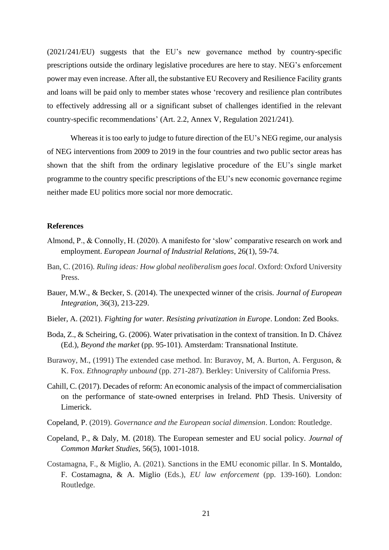(2021/241/EU) suggests that the EU's new governance method by country-specific prescriptions outside the ordinary legislative procedures are here to stay. NEG's enforcement power may even increase. After all, the substantive EU Recovery and Resilience Facility grants and loans will be paid only to member states whose 'recovery and resilience plan contributes to effectively addressing all or a significant subset of challenges identified in the relevant country-specific recommendations' (Art. 2.2, Annex V, Regulation 2021/241).

Whereas it is too early to judge to future direction of the EU's NEG regime, our analysis of NEG interventions from 2009 to 2019 in the four countries and two public sector areas has shown that the shift from the ordinary legislative procedure of the EU's single market programme to the country specific prescriptions of the EU's new economic governance regime neither made EU politics more social nor more democratic.

# **References**

- Almond, P., & Connolly, H. (2020). A manifesto for 'slow' comparative research on work and employment. *European Journal of Industrial Relations*, 26(1), 59-74.
- Ban, C. (2016). *Ruling ideas: How global neoliberalism goes local*. Oxford: Oxford University Press.
- Bauer, M.W., & Becker, S. (2014). The unexpected winner of the crisis. *Journal of European Integration*, 36(3), 213-229.
- Bieler, A. (2021). *Fighting for water. Resisting privatization in Europe*. London: Zed Books.
- Boda, Z., & Scheiring, G. (2006). Water privatisation in the context of transition. In D. Chávez (Ed.), *Beyond the market* (pp. 95-101). Amsterdam: Transnational Institute.
- Burawoy, M., (1991) The extended case method. In: Buravoy, M, A. Burton, A. Ferguson, & K. Fox. *Ethnography unbound* (pp. 271-287). Berkley: University of California Press.
- Cahill, C. (2017). Decades of reform: An economic analysis of the impact of commercialisation on the performance of state-owned enterprises in Ireland. PhD Thesis. University of Limerick.
- Copeland, P. (2019). *Governance and the European social dimension*. London: Routledge.
- Copeland, P., & Daly, M. (2018). The European semester and EU social policy. *Journal of Common Market Studies*, 56(5), 1001-1018.
- Costamagna, F., & Miglio, A. (2021). Sanctions in the EMU economic pillar. In S. Montaldo, F. Costamagna, & A. Miglio (Eds.), *EU law enforcement* (pp. 139-160). London: Routledge.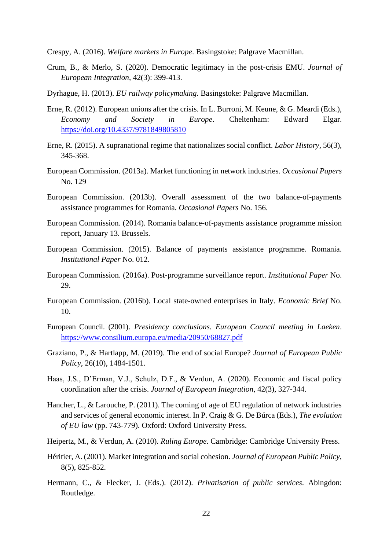Crespy, A. (2016). *Welfare markets in Europe*. Basingstoke: Palgrave Macmillan.

- Crum, B., & Merlo, S. (2020). Democratic legitimacy in the post-crisis EMU. *Journal of European Integration*, 42(3): 399-413.
- Dyrhague, H. (2013). *EU railway policymaking.* Basingstoke: Palgrave Macmillan.
- Erne, R. (2012). European unions after the crisis. In L. Burroni, M. Keune, & G. Meardi (Eds.), *Economy and Society in Europe*. Cheltenham: Edward Elgar. <https://doi.org/10.4337/9781849805810>
- Erne, R. (2015). A supranational regime that nationalizes social conflict. *Labor History*, 56(3), 345-368.
- European Commission. (2013a). Market functioning in network industries. *Occasional Papers* No. 129
- European Commission. (2013b). Overall assessment of the two balance-of-payments assistance programmes for Romania. *Occasional Papers* No. 156.
- European Commission. (2014). Romania balance-of-payments assistance programme mission report, January 13. Brussels.
- European Commission. (2015). Balance of payments assistance programme. Romania. *Institutional Paper* No. 012.
- European Commission. (2016a). Post-programme surveillance report. *Institutional Paper* No. 29.
- European Commission. (2016b). Local state-owned enterprises in Italy. *Economic Brief* No. 10.
- European Council. (2001). *Presidency conclusions. European Council meeting in Laeken*. <https://www.consilium.europa.eu/media/20950/68827.pdf>
- Graziano, P., & Hartlapp, M. (2019). The end of social Europe? *Journal of European Public Policy*, 26(10), 1484-1501.
- Haas, J.S., D'Erman, V.J., Schulz, D.F., & Verdun, A. (2020). Economic and fiscal policy coordination after the crisis. *Journal of European Integration*, 42(3), 327-344.
- Hancher, L., & Larouche, P. (2011). The coming of age of EU regulation of network industries and services of general economic interest. In P. Craig & G. De Búrca (Eds.), *The evolution of EU law* (pp. 743-779). Oxford: Oxford University Press.
- Heipertz, M., & Verdun, A. (2010). *Ruling Europe*. Cambridge: Cambridge University Press.
- Héritier, A. (2001). Market integration and social cohesion. *Journal of European Public Policy*, 8(5), 825-852.
- Hermann, C., & Flecker, J. (Eds.). (2012). *Privatisation of public services*. Abingdon: Routledge.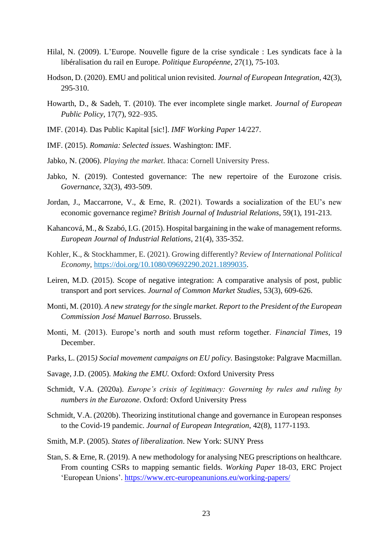- Hilal, N. (2009). L'Europe. Nouvelle figure de la crise syndicale : Les syndicats face à la libéralisation du rail en Europe. *Politique Européenne*, 27(1), 75-103.
- Hodson, D. (2020). EMU and political union revisited. *Journal of European Integration*, 42(3), 295-310.
- Howarth, D., & Sadeh, T. (2010). The ever incomplete single market. *Journal of European Public Policy*, 17(7), 922–935.
- IMF. (2014). Das Public Kapital [sic!]. *IMF Working Paper* 14/227.
- IMF. (2015). *Romania: Selected issues*. Washington: IMF.
- Jabko, N. (2006). *Playing the market*. Ithaca: Cornell University Press.
- Jabko, N. (2019). Contested governance: The new repertoire of the Eurozone crisis. *Governance*, 32(3), 493-509.
- Jordan, J., Maccarrone, V., & Erne, R. (2021). Towards a socialization of the EU's new economic governance regime? *British Journal of Industrial Relations*, 59(1), 191-213.
- Kahancová, M., & Szabó, I.G. (2015). Hospital bargaining in the wake of management reforms. *European Journal of Industrial Relations*, 21(4), 335-352.
- Kohler, K., & Stockhammer, E. (2021). Growing differently? *Review of International Political Economy*, [https://doi.org/10.1080/09692290.2021.1899035.](https://doi.org/10.1080/09692290.2021.1899035)
- Leiren, M.D. (2015). Scope of negative integration: A comparative analysis of post, public transport and port services. *Journal of Common Market Studies*, 53(3), 609-626.
- Monti, M. (2010). *A new strategy for the single market. Report to the President of the European Commission José Manuel Barroso*. Brussels.
- Monti, M. (2013). Europe's north and south must reform together. *Financial Times*, 19 December.
- Parks, L. (2015*) Social movement campaigns on EU policy.* Basingstoke: Palgrave Macmillan.
- Savage, J.D. (2005). *Making the EMU.* Oxford: Oxford University Press
- Schmidt, V.A. (2020a). *Europe's crisis of legitimacy: Governing by rules and ruling by numbers in the Eurozone.* Oxford: Oxford University Press
- Schmidt, V.A. (2020b). Theorizing institutional change and governance in European responses to the Covid-19 pandemic. *Journal of European Integration*, 42(8), 1177-1193.
- Smith, M.P. (2005). *States of liberalization*. New York: SUNY Press
- Stan, S. & Erne, R. (2019). A new methodology for analysing NEG prescriptions on healthcare. From counting CSRs to mapping semantic fields. *Working Paper* 18-03, ERC Project 'European Unions'.<https://www.erc-europeanunions.eu/working-papers/>